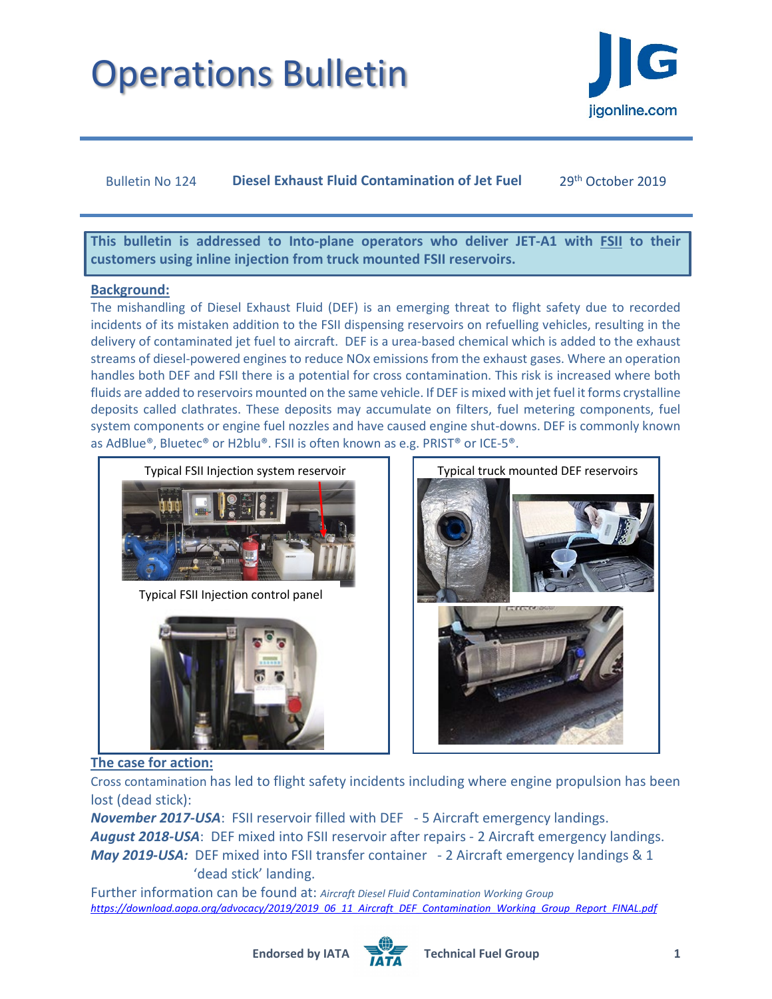

## Bulletin No 124 **Diesel Exhaust Fluid Contamination of Jet Fuel** 29th October 2019

**This bulletin is addressed to Into-plane operators who deliver JET-A1 with FSII to their customers using inline injection from truck mounted FSII reservoirs.** 

### **Background:**

The mishandling of Diesel Exhaust Fluid (DEF) is an emerging threat to flight safety due to recorded incidents of its mistaken addition to the FSII dispensing reservoirs on refuelling vehicles, resulting in the delivery of contaminated jet fuel to aircraft. DEF is a urea-based chemical which is added to the exhaust streams of diesel-powered engines to reduce NOx emissions from the exhaust gases. Where an operation handles both DEF and FSII there is a potential for cross contamination. This risk is increased where both fluids are added to reservoirs mounted on the same vehicle. If DEF is mixed with jet fuel it forms crystalline deposits called clathrates. These deposits may accumulate on filters, fuel metering components, fuel system components or engine fuel nozzles and have caused engine shut-downs. DEF is commonly known as AdBlue®, Bluetec® or H2blu®. FSII is often known as e.g. PRIST® or ICE-5®.



Typical FSII Injection control panel





## **The case for action:**

Cross contamination has led to flight safety incidents including where engine propulsion has been lost (dead stick):

*November 2017-USA*: FSII reservoir filled with DEF - 5 Aircraft emergency landings. *August 2018-USA*: DEF mixed into FSII reservoir after repairs - 2 Aircraft emergency landings. *May 2019-USA:* DEF mixed into FSII transfer container - 2 Aircraft emergency landings & 1 'dead stick' landing.

Further information can be found at: *Aircraft Diesel Fluid Contamination Working Group [https://download.aopa.org/advocacy/2019/2019\\_06\\_11\\_Aircraft\\_DEF\\_Contamination\\_Working\\_Group\\_Report\\_FINAL.pdf](https://download.aopa.org/advocacy/2019/2019_06_11_Aircraft_DEF_Contamination_Working_Group_Report_FINAL.pdf)*

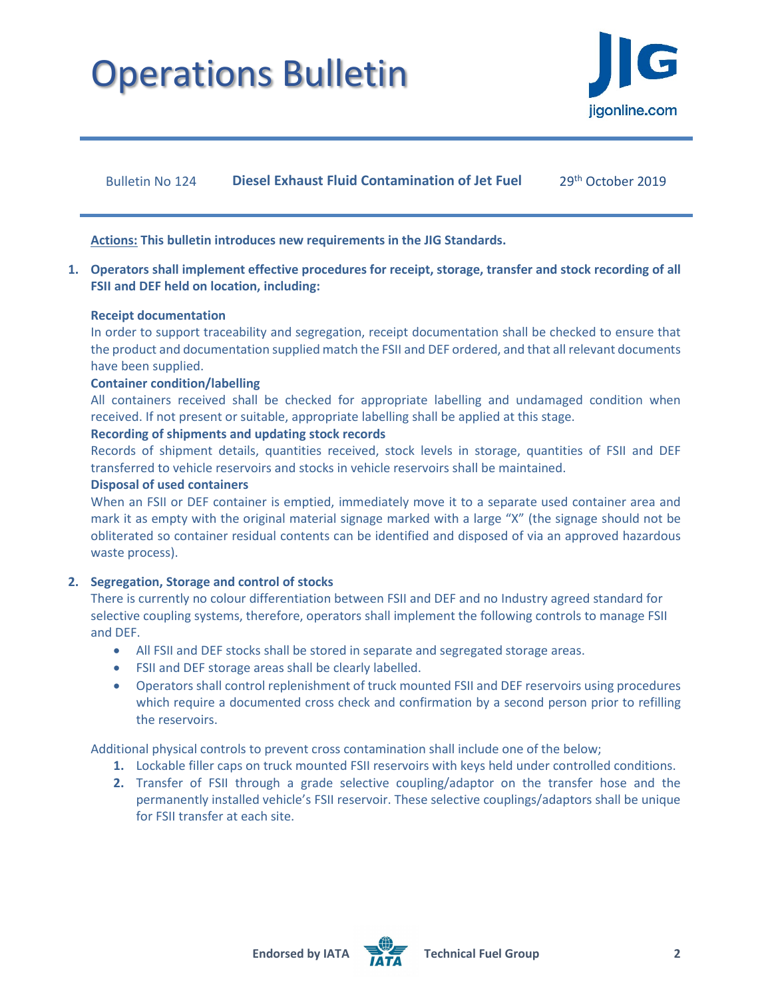

Bulletin No 124 **Diesel Exhaust Fluid Contamination of Jet Fuel** 29<sup>th</sup> October 2019

**Actions: This bulletin introduces new requirements in the JIG Standards.**

**1. Operators shall implement effective procedures for receipt, storage, transfer and stock recording of all FSII and DEF held on location, including:**

#### **Receipt documentation**

In order to support traceability and segregation, receipt documentation shall be checked to ensure that the product and documentation supplied match the FSII and DEF ordered, and that all relevant documents have been supplied.

### **Container condition/labelling**

All containers received shall be checked for appropriate labelling and undamaged condition when received. If not present or suitable, appropriate labelling shall be applied at this stage.

### **Recording of shipments and updating stock records**

Records of shipment details, quantities received, stock levels in storage, quantities of FSII and DEF transferred to vehicle reservoirs and stocks in vehicle reservoirs shall be maintained.

#### **Disposal of used containers**

When an FSII or DEF container is emptied, immediately move it to a separate used container area and mark it as empty with the original material signage marked with a large "X" (the signage should not be obliterated so container residual contents can be identified and disposed of via an approved hazardous waste process).

### **2. Segregation, Storage and control of stocks**

There is currently no colour differentiation between FSII and DEF and no Industry agreed standard for selective coupling systems, therefore, operators shall implement the following controls to manage FSII and DEF.

- All FSII and DEF stocks shall be stored in separate and segregated storage areas.
- FSII and DEF storage areas shall be clearly labelled.
- Operators shall control replenishment of truck mounted FSII and DEF reservoirs using procedures which require a documented cross check and confirmation by a second person prior to refilling the reservoirs.

Additional physical controls to prevent cross contamination shall include one of the below;

- **1.** Lockable filler caps on truck mounted FSII reservoirs with keys held under controlled conditions.
- **2.** Transfer of FSII through a grade selective coupling/adaptor on the transfer hose and the permanently installed vehicle's FSII reservoir. These selective couplings/adaptors shall be unique for FSII transfer at each site.



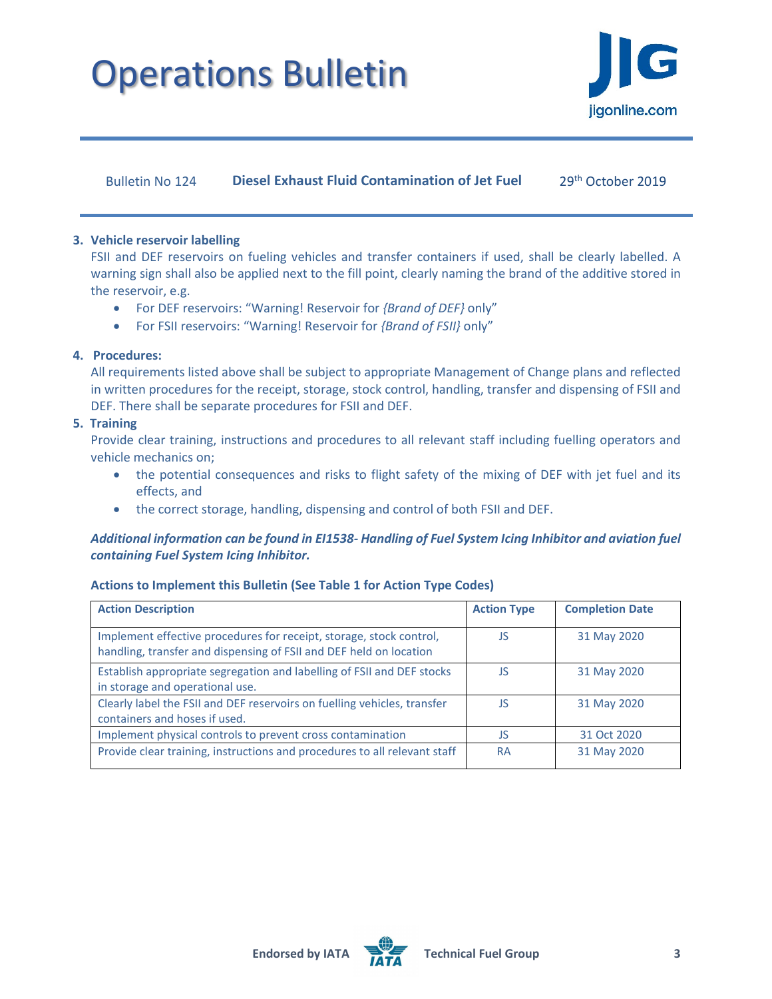

Bulletin No 124 **Diesel Exhaust Fluid Contamination of Jet Fuel** 29<sup>th</sup> October 2019

### **3. Vehicle reservoir labelling**

FSII and DEF reservoirs on fueling vehicles and transfer containers if used, shall be clearly labelled. A warning sign shall also be applied next to the fill point, clearly naming the brand of the additive stored in the reservoir, e.g.

- For DEF reservoirs: "Warning! Reservoir for *{Brand of DEF}* only"
- For FSII reservoirs: "Warning! Reservoir for *{Brand of FSII}* only"

## **4. Procedures:**

All requirements listed above shall be subject to appropriate Management of Change plans and reflected in written procedures for the receipt, storage, stock control, handling, transfer and dispensing of FSII and DEF. There shall be separate procedures for FSII and DEF.

### **5. Training**

Provide clear training, instructions and procedures to all relevant staff including fuelling operators and vehicle mechanics on;

- the potential consequences and risks to flight safety of the mixing of DEF with jet fuel and its effects, and
- the correct storage, handling, dispensing and control of both FSII and DEF.

## *Additional information can be found in EI1538- Handling of Fuel System Icing Inhibitor and aviation fuel containing Fuel System Icing Inhibitor.*

## **Actions to Implement this Bulletin (See Table 1 for Action Type Codes)**

| <b>Action Description</b>                                                                                                                 | <b>Action Type</b> | <b>Completion Date</b> |
|-------------------------------------------------------------------------------------------------------------------------------------------|--------------------|------------------------|
| Implement effective procedures for receipt, storage, stock control,<br>handling, transfer and dispensing of FSII and DEF held on location | JS                 | 31 May 2020            |
| Establish appropriate segregation and labelling of FSII and DEF stocks<br>in storage and operational use.                                 | JS                 | 31 May 2020            |
| Clearly label the FSII and DEF reservoirs on fuelling vehicles, transfer<br>containers and hoses if used.                                 | JS                 | 31 May 2020            |
| Implement physical controls to prevent cross contamination                                                                                | JS                 | 31 Oct 2020            |
| Provide clear training, instructions and procedures to all relevant staff                                                                 | <b>RA</b>          | 31 May 2020            |